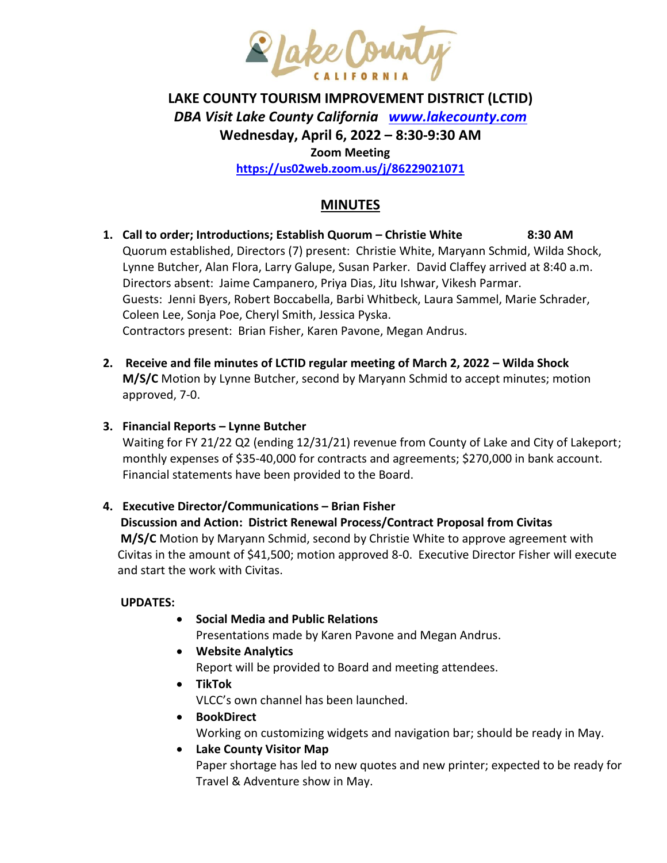

# **LAKE COUNTY TOURISM IMPROVEMENT DISTRICT (LCTID)** *DBA Visit Lake County California [www.lakecounty.com](http://www.lakecounty.com/)* **Wednesday, April 6, 2022 – 8:30-9:30 AM Zoom Meeting <https://us02web.zoom.us/j/86229021071>**

# **MINUTES**

- **1. Call to order; Introductions; Establish Quorum – Christie White 8:30 AM** Quorum established, Directors (7) present: Christie White, Maryann Schmid, Wilda Shock, Lynne Butcher, Alan Flora, Larry Galupe, Susan Parker. David Claffey arrived at 8:40 a.m. Directors absent: Jaime Campanero, Priya Dias, Jitu Ishwar, Vikesh Parmar. Guests: Jenni Byers, Robert Boccabella, Barbi Whitbeck, Laura Sammel, Marie Schrader, Coleen Lee, Sonja Poe, Cheryl Smith, Jessica Pyska. Contractors present: Brian Fisher, Karen Pavone, Megan Andrus.
- **2. Receive and file minutes of LCTID regular meeting of March 2, 2022 – Wilda Shock M/S/C** Motion by Lynne Butcher, second by Maryann Schmid to accept minutes; motion approved, 7-0.

#### **3. Financial Reports – Lynne Butcher**

Waiting for FY 21/22 Q2 (ending 12/31/21) revenue from County of Lake and City of Lakeport; monthly expenses of \$35-40,000 for contracts and agreements; \$270,000 in bank account. Financial statements have been provided to the Board.

#### **4. Executive Director/Communications – Brian Fisher**

# **Discussion and Action: District Renewal Process/Contract Proposal from Civitas**

**M/S/C** Motion by Maryann Schmid, second by Christie White to approve agreement with Civitas in the amount of \$41,500; motion approved 8-0. Executive Director Fisher will execute and start the work with Civitas.

#### **UPDATES:**

**Social Media and Public Relations**

Presentations made by Karen Pavone and Megan Andrus.

- **Website Analytics** Report will be provided to Board and meeting attendees.
- **TikTok**

VLCC's own channel has been launched.

- **BookDirect**
- Working on customizing widgets and navigation bar; should be ready in May. **Lake County Visitor Map** Paper shortage has led to new quotes and new printer; expected to be ready for

Travel & Adventure show in May.